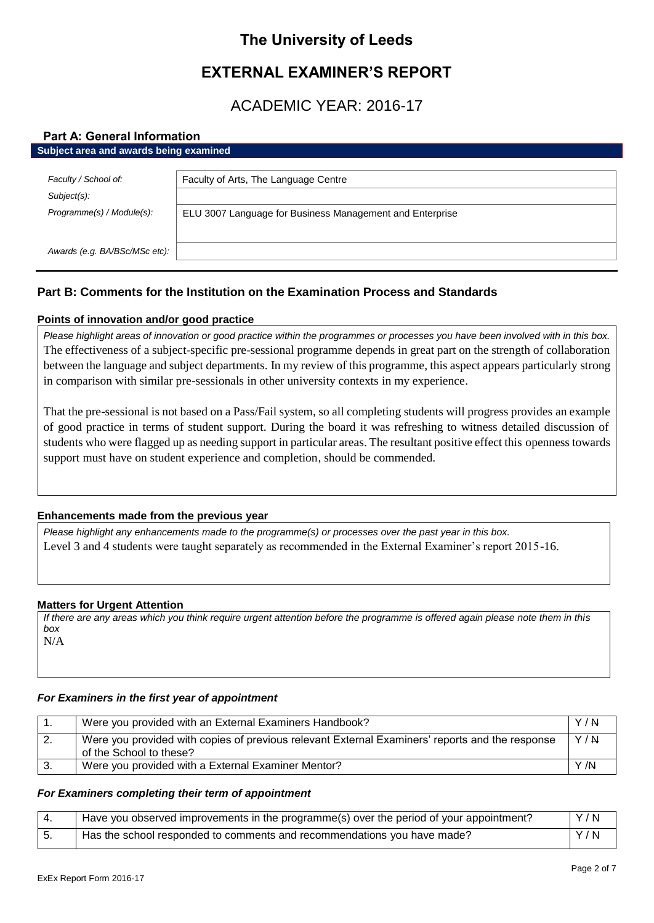# **The University of Leeds**

# **EXTERNAL EXAMINER'S REPORT**

# ACADEMIC YEAR: 2016-17

## **Part A: General Information**

| Subject area and awards being examined |                                                          |  |
|----------------------------------------|----------------------------------------------------------|--|
|                                        |                                                          |  |
| Faculty / School of:                   | Faculty of Arts, The Language Centre                     |  |
| Subject(s):                            |                                                          |  |
| Programme(s) / Module(s):              | ELU 3007 Language for Business Management and Enterprise |  |
|                                        |                                                          |  |
| Awards (e.g. BA/BSc/MSc etc):          |                                                          |  |
|                                        |                                                          |  |

# **Part B: Comments for the Institution on the Examination Process and Standards**

## **Points of innovation and/or good practice**

*Please highlight areas of innovation or good practice within the programmes or processes you have been involved with in this box.* The effectiveness of a subject-specific pre-sessional programme depends in great part on the strength of collaboration between the language and subject departments. In my review of this programme, this aspect appears particularly strong in comparison with similar pre-sessionals in other university contexts in my experience.

That the pre-sessional is not based on a Pass/Fail system, so all completing students will progress provides an example of good practice in terms of student support. During the board it was refreshing to witness detailed discussion of students who were flagged up as needing support in particular areas. The resultant positive effect this openness towards support must have on student experience and completion, should be commended.

## **Enhancements made from the previous year**

*Please highlight any enhancements made to the programme(s) or processes over the past year in this box.* Level 3 and 4 students were taught separately as recommended in the External Examiner's report 2015-16.

## **Matters for Urgent Attention**

*If there are any areas which you think require urgent attention before the programme is offered again please note them in this box* N/A

## *For Examiners in the first year of appointment*

| Were you provided with an External Examiners Handbook?                                                                     | Y/N |
|----------------------------------------------------------------------------------------------------------------------------|-----|
| Were you provided with copies of previous relevant External Examiners' reports and the response<br>of the School to these? | Y/N |
| Were you provided with a External Examiner Mentor?                                                                         | Y/N |

## *For Examiners completing their term of appointment*

| Have you observed improvements in the programme(s) over the period of your appointment? | Y/N |
|-----------------------------------------------------------------------------------------|-----|
| Has the school responded to comments and recommendations you have made?                 | Y/N |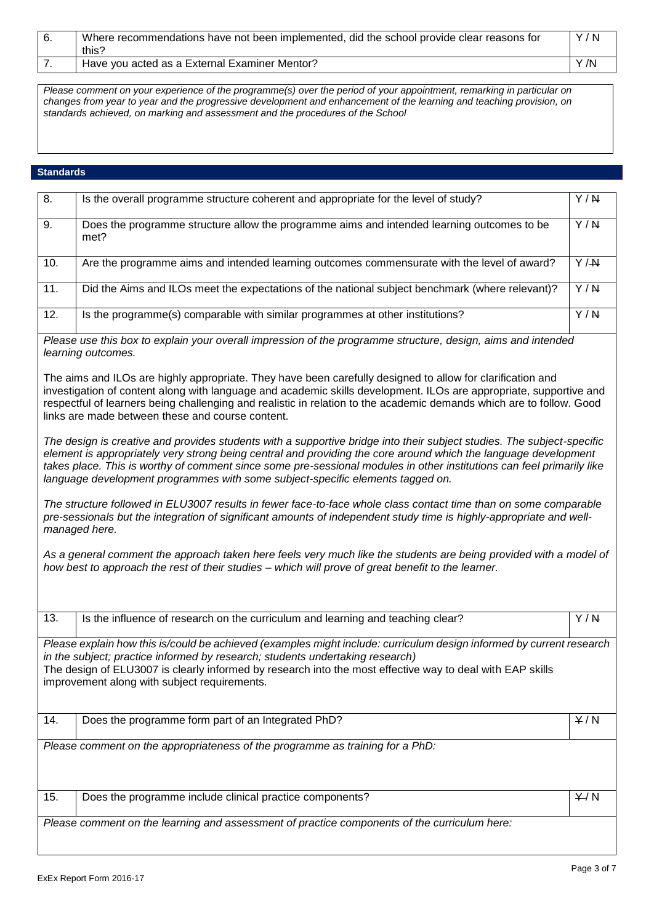| Where recommendations have not been implemented, did the school provide clear reasons for | Y/N  |
|-------------------------------------------------------------------------------------------|------|
| this?                                                                                     |      |
| Have you acted as a External Examiner Mentor?                                             | Y /N |

*Please comment on your experience of the programme(s) over the period of your appointment, remarking in particular on changes from year to year and the progressive development and enhancement of the learning and teaching provision, on standards achieved, on marking and assessment and the procedures of the School*

# **Standards**

| 8.  |                                                                                                                                                                                                                                                                                                                                                                                                                                                      |     |
|-----|------------------------------------------------------------------------------------------------------------------------------------------------------------------------------------------------------------------------------------------------------------------------------------------------------------------------------------------------------------------------------------------------------------------------------------------------------|-----|
|     | Is the overall programme structure coherent and appropriate for the level of study?                                                                                                                                                                                                                                                                                                                                                                  | Y/N |
| 9.  | Does the programme structure allow the programme aims and intended learning outcomes to be<br>met?                                                                                                                                                                                                                                                                                                                                                   | Y/N |
| 10. | Are the programme aims and intended learning outcomes commensurate with the level of award?                                                                                                                                                                                                                                                                                                                                                          | Y/M |
| 11. | Did the Aims and ILOs meet the expectations of the national subject benchmark (where relevant)?                                                                                                                                                                                                                                                                                                                                                      | Y/N |
| 12. | Is the programme(s) comparable with similar programmes at other institutions?                                                                                                                                                                                                                                                                                                                                                                        | Y/N |
|     | Please use this box to explain your overall impression of the programme structure, design, aims and intended<br>learning outcomes.                                                                                                                                                                                                                                                                                                                   |     |
|     | The aims and ILOs are highly appropriate. They have been carefully designed to allow for clarification and<br>investigation of content along with language and academic skills development. ILOs are appropriate, supportive and<br>respectful of learners being challenging and realistic in relation to the academic demands which are to follow. Good<br>links are made between these and course content.                                         |     |
|     | The design is creative and provides students with a supportive bridge into their subject studies. The subject-specific<br>element is appropriately very strong being central and providing the core around which the language development<br>takes place. This is worthy of comment since some pre-sessional modules in other institutions can feel primarily like<br>language development programmes with some subject-specific elements tagged on. |     |
|     | The structure followed in ELU3007 results in fewer face-to-face whole class contact time than on some comparable<br>pre-sessionals but the integration of significant amounts of independent study time is highly-appropriate and well-<br>managed here.                                                                                                                                                                                             |     |
|     | As a general comment the approach taken here feels very much like the students are being provided with a model of<br>how best to approach the rest of their studies - which will prove of great benefit to the learner.                                                                                                                                                                                                                              |     |
| 13. | Is the influence of research on the curriculum and learning and teaching clear?                                                                                                                                                                                                                                                                                                                                                                      | Y/N |
|     | Please explain how this is/could be achieved (examples might include: curriculum design informed by current research                                                                                                                                                                                                                                                                                                                                 |     |
|     | in the subject; practice informed by research; students undertaking research)<br>The design of ELU3007 is clearly informed by research into the most effective way to deal with EAP skills<br>improvement along with subject requirements.                                                                                                                                                                                                           |     |
| 14. | Does the programme form part of an Integrated PhD?                                                                                                                                                                                                                                                                                                                                                                                                   | Y/N |
|     | Please comment on the appropriateness of the programme as training for a PhD:                                                                                                                                                                                                                                                                                                                                                                        |     |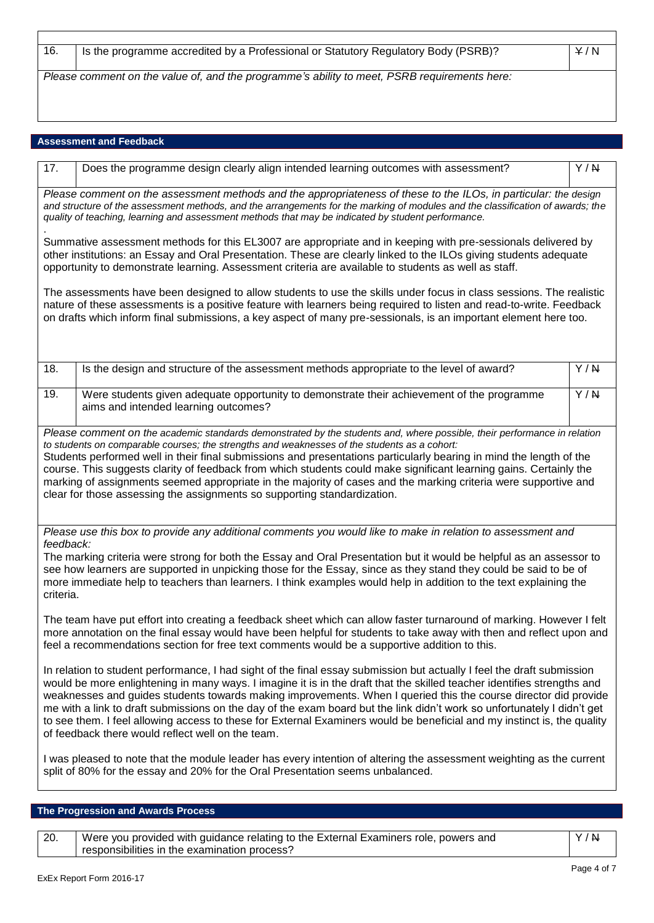| 16. | Is the programme accredited by a Professional or Statutory Regulatory Body (PSRB)?           | Y/N |
|-----|----------------------------------------------------------------------------------------------|-----|
|     | Please comment on the value of, and the programme's ability to meet, PSRB requirements here: |     |

# **Assessment and Feedback**

Г

| 17.                                                                                                                                                                                                                                                                                                                                                                                                                                                                                                                                                                                                                                                                             | Does the programme design clearly align intended learning outcomes with assessment?                                                                                                                                                                                                                                                                                                                                                                                         | Y/N |
|---------------------------------------------------------------------------------------------------------------------------------------------------------------------------------------------------------------------------------------------------------------------------------------------------------------------------------------------------------------------------------------------------------------------------------------------------------------------------------------------------------------------------------------------------------------------------------------------------------------------------------------------------------------------------------|-----------------------------------------------------------------------------------------------------------------------------------------------------------------------------------------------------------------------------------------------------------------------------------------------------------------------------------------------------------------------------------------------------------------------------------------------------------------------------|-----|
|                                                                                                                                                                                                                                                                                                                                                                                                                                                                                                                                                                                                                                                                                 | Please comment on the assessment methods and the appropriateness of these to the ILOs, in particular: the design<br>and structure of the assessment methods, and the arrangements for the marking of modules and the classification of awards; the<br>quality of teaching, learning and assessment methods that may be indicated by student performance.                                                                                                                    |     |
|                                                                                                                                                                                                                                                                                                                                                                                                                                                                                                                                                                                                                                                                                 | Summative assessment methods for this EL3007 are appropriate and in keeping with pre-sessionals delivered by<br>other institutions: an Essay and Oral Presentation. These are clearly linked to the ILOs giving students adequate<br>opportunity to demonstrate learning. Assessment criteria are available to students as well as staff.                                                                                                                                   |     |
|                                                                                                                                                                                                                                                                                                                                                                                                                                                                                                                                                                                                                                                                                 | The assessments have been designed to allow students to use the skills under focus in class sessions. The realistic<br>nature of these assessments is a positive feature with learners being required to listen and read-to-write. Feedback<br>on drafts which inform final submissions, a key aspect of many pre-sessionals, is an important element here too.                                                                                                             |     |
| 18.                                                                                                                                                                                                                                                                                                                                                                                                                                                                                                                                                                                                                                                                             | Is the design and structure of the assessment methods appropriate to the level of award?                                                                                                                                                                                                                                                                                                                                                                                    | Y/N |
| 19.                                                                                                                                                                                                                                                                                                                                                                                                                                                                                                                                                                                                                                                                             | Were students given adequate opportunity to demonstrate their achievement of the programme<br>aims and intended learning outcomes?                                                                                                                                                                                                                                                                                                                                          | Y/N |
|                                                                                                                                                                                                                                                                                                                                                                                                                                                                                                                                                                                                                                                                                 | course. This suggests clarity of feedback from which students could make significant learning gains. Certainly the<br>marking of assignments seemed appropriate in the majority of cases and the marking criteria were supportive and<br>clear for those assessing the assignments so supporting standardization.                                                                                                                                                           |     |
| feedback:<br>criteria.                                                                                                                                                                                                                                                                                                                                                                                                                                                                                                                                                                                                                                                          | Please use this box to provide any additional comments you would like to make in relation to assessment and<br>The marking criteria were strong for both the Essay and Oral Presentation but it would be helpful as an assessor to<br>see how learners are supported in unpicking those for the Essay, since as they stand they could be said to be of<br>more immediate help to teachers than learners. I think examples would help in addition to the text explaining the |     |
| The team have put effort into creating a feedback sheet which can allow faster turnaround of marking. However I felt<br>more annotation on the final essay would have been helpful for students to take away with then and reflect upon and<br>feel a recommendations section for free text comments would be a supportive addition to this.                                                                                                                                                                                                                                                                                                                                    |                                                                                                                                                                                                                                                                                                                                                                                                                                                                             |     |
| In relation to student performance, I had sight of the final essay submission but actually I feel the draft submission<br>would be more enlightening in many ways. I imagine it is in the draft that the skilled teacher identifies strengths and<br>weaknesses and guides students towards making improvements. When I queried this the course director did provide<br>me with a link to draft submissions on the day of the exam board but the link didn't work so unfortunately I didn't get<br>to see them. I feel allowing access to these for External Examiners would be beneficial and my instinct is, the quality<br>of feedback there would reflect well on the team. |                                                                                                                                                                                                                                                                                                                                                                                                                                                                             |     |
| I was pleased to note that the module leader has every intention of altering the assessment weighting as the current<br>split of 80% for the essay and 20% for the Oral Presentation seems unbalanced.                                                                                                                                                                                                                                                                                                                                                                                                                                                                          |                                                                                                                                                                                                                                                                                                                                                                                                                                                                             |     |
|                                                                                                                                                                                                                                                                                                                                                                                                                                                                                                                                                                                                                                                                                 |                                                                                                                                                                                                                                                                                                                                                                                                                                                                             |     |

20. Were you provided with guidance relating to the External Examiners role, powers and responsibilities in the examination process?

Y / N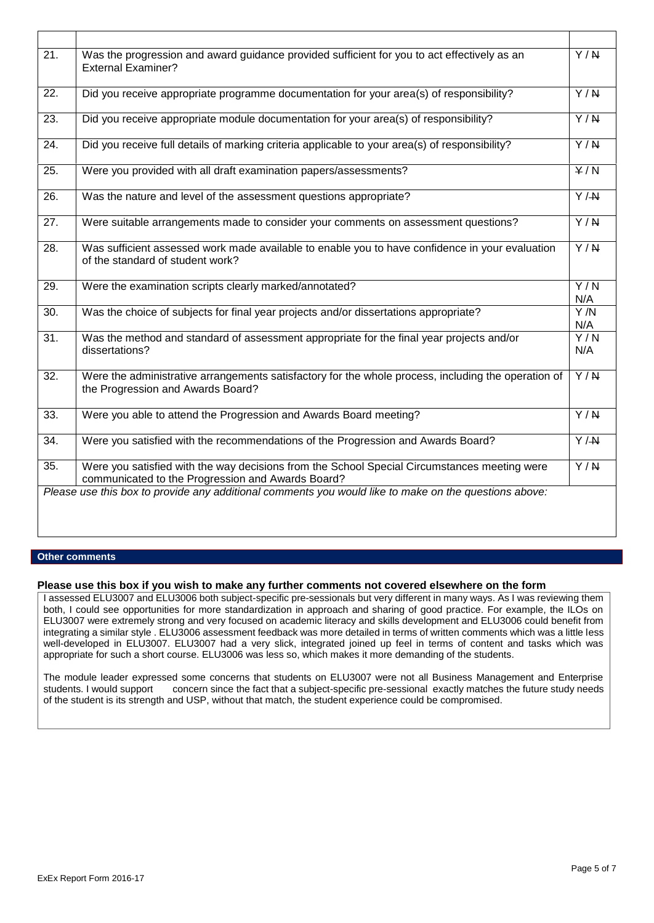| $\overline{21}$ . | Was the progression and award guidance provided sufficient for you to act effectively as an<br><b>External Examiner?</b>                          | $\overline{Y/N}$            |
|-------------------|---------------------------------------------------------------------------------------------------------------------------------------------------|-----------------------------|
| 22.               | Did you receive appropriate programme documentation for your area(s) of responsibility?                                                           | $\overline{Y/N}$            |
| $\overline{23}$ . | Did you receive appropriate module documentation for your area(s) of responsibility?                                                              | $\overline{Y/N}$            |
| 24.               | Did you receive full details of marking criteria applicable to your area(s) of responsibility?                                                    | $\overline{Y/N}$            |
| 25.               | Were you provided with all draft examination papers/assessments?                                                                                  | $\overline{Y/N}$            |
| 26.               | Was the nature and level of the assessment questions appropriate?                                                                                 | $\overline{Y}/\overline{X}$ |
| 27.               | Were suitable arrangements made to consider your comments on assessment questions?                                                                | $\overline{Y/N}$            |
| $\overline{28}$ . | Was sufficient assessed work made available to enable you to have confidence in your evaluation<br>of the standard of student work?               | $\overline{Y/N}$            |
| 29.               | Were the examination scripts clearly marked/annotated?                                                                                            | $\overline{Y/N}$<br>N/A     |
| 30.               | Was the choice of subjects for final year projects and/or dissertations appropriate?                                                              | $\overline{Y/N}$<br>N/A     |
| 31.               | Was the method and standard of assessment appropriate for the final year projects and/or<br>dissertations?                                        | Y/N<br>N/A                  |
| $\overline{32}$ . | Were the administrative arrangements satisfactory for the whole process, including the operation of<br>the Progression and Awards Board?          | $\overline{Y/N}$            |
| 33.               | Were you able to attend the Progression and Awards Board meeting?                                                                                 | $\overline{Y/N}$            |
| $\overline{34}$ . | Were you satisfied with the recommendations of the Progression and Awards Board?                                                                  | $\overline{Y/H}$            |
| 35.               | Were you satisfied with the way decisions from the School Special Circumstances meeting were<br>communicated to the Progression and Awards Board? | Y/N                         |
|                   | Please use this box to provide any additional comments you would like to make on the questions above:                                             |                             |
|                   |                                                                                                                                                   |                             |

### **Other comments**

#### **Please use this box if you wish to make any further comments not covered elsewhere on the form**

I assessed ELU3007 and ELU3006 both subject-specific pre-sessionals but very different in many ways. As I was reviewing them both, I could see opportunities for more standardization in approach and sharing of good practice. For example, the ILOs on ELU3007 were extremely strong and very focused on academic literacy and skills development and ELU3006 could benefit from integrating a similar style . ELU3006 assessment feedback was more detailed in terms of written comments which was a little less well-developed in ELU3007. ELU3007 had a very slick, integrated joined up feel in terms of content and tasks which was appropriate for such a short course. ELU3006 was less so, which makes it more demanding of the students.

The module leader expressed some concerns that students on ELU3007 were not all Business Management and Enterprise<br>students. I would support concern since the fact that a subject-specific pre-sessional exactly matches the concern since the fact that a subject-specific pre-sessional exactly matches the future study needs of the student is its strength and USP, without that match, the student experience could be compromised.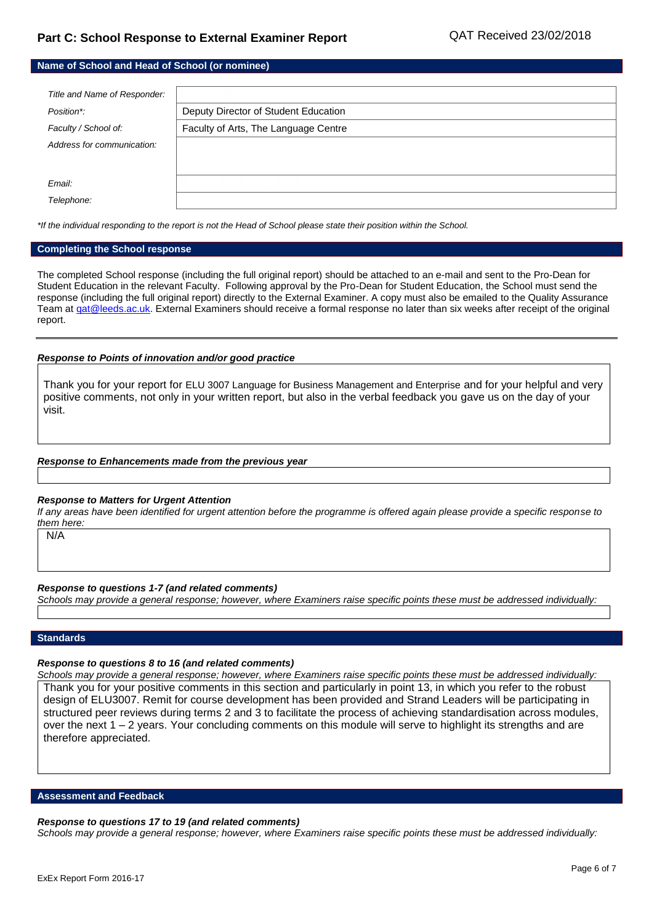| Name of School and Head of School (or nominee) |                                      |  |
|------------------------------------------------|--------------------------------------|--|
|                                                |                                      |  |
| Title and Name of Responder:                   |                                      |  |
| Position*:                                     | Deputy Director of Student Education |  |
| Faculty / School of:                           | Faculty of Arts, The Language Centre |  |
| Address for communication:                     |                                      |  |
|                                                |                                      |  |
| Email:                                         |                                      |  |
| Telephone:                                     |                                      |  |

*\*If the individual responding to the report is not the Head of School please state their position within the School.*

#### **Completing the School response**

The completed School response (including the full original report) should be attached to an e-mail and sent to the Pro-Dean for Student Education in the relevant Faculty. Following approval by the Pro-Dean for Student Education, the School must send the response (including the full original report) directly to the External Examiner. A copy must also be emailed to the Quality Assurance Team at gat@leeds.ac.uk. External Examiners should receive a formal response no later than six weeks after receipt of the original report.

#### *Response to Points of innovation and/or good practice*

Thank you for your report for ELU 3007 Language for Business Management and Enterprise and for your helpful and very positive comments, not only in your written report, but also in the verbal feedback you gave us on the day of your visit.

#### *Response to Enhancements made from the previous year*

#### *Response to Matters for Urgent Attention*

*If any areas have been identified for urgent attention before the programme is offered again please provide a specific response to them here:*

N/A

#### *Response to questions 1-7 (and related comments)*

*Schools may provide a general response; however, where Examiners raise specific points these must be addressed individually:*

### **Standards**

#### *Response to questions 8 to 16 (and related comments)*

*Schools may provide a general response; however, where Examiners raise specific points these must be addressed individually:* Thank you for your positive comments in this section and particularly in point 13, in which you refer to the robust design of ELU3007. Remit for course development has been provided and Strand Leaders will be participating in structured peer reviews during terms 2 and 3 to facilitate the process of achieving standardisation across modules, over the next 1 – 2 years. Your concluding comments on this module will serve to highlight its strengths and are therefore appreciated.

**Assessment and Feedback**

#### *Response to questions 17 to 19 (and related comments)*

*Schools may provide a general response; however, where Examiners raise specific points these must be addressed individually:*